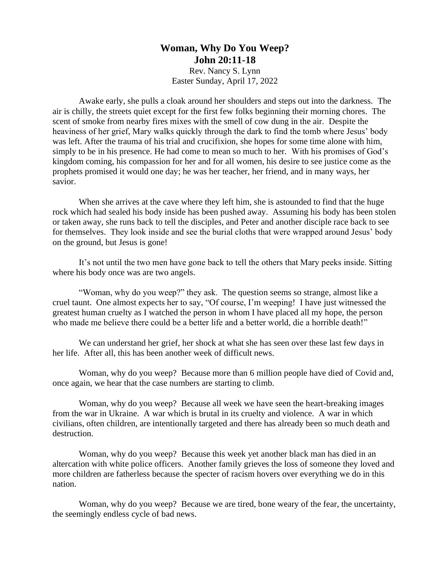## **Woman, Why Do You Weep? John 20:11-18**

Rev. Nancy S. Lynn Easter Sunday, April 17, 2022

Awake early, she pulls a cloak around her shoulders and steps out into the darkness. The air is chilly, the streets quiet except for the first few folks beginning their morning chores. The scent of smoke from nearby fires mixes with the smell of cow dung in the air. Despite the heaviness of her grief, Mary walks quickly through the dark to find the tomb where Jesus' body was left. After the trauma of his trial and crucifixion, she hopes for some time alone with him, simply to be in his presence. He had come to mean so much to her. With his promises of God's kingdom coming, his compassion for her and for all women, his desire to see justice come as the prophets promised it would one day; he was her teacher, her friend, and in many ways, her savior.

When she arrives at the cave where they left him, she is astounded to find that the huge rock which had sealed his body inside has been pushed away. Assuming his body has been stolen or taken away, she runs back to tell the disciples, and Peter and another disciple race back to see for themselves. They look inside and see the burial cloths that were wrapped around Jesus' body on the ground, but Jesus is gone!

It's not until the two men have gone back to tell the others that Mary peeks inside. Sitting where his body once was are two angels.

"Woman, why do you weep?" they ask. The question seems so strange, almost like a cruel taunt. One almost expects her to say, "Of course, I'm weeping! I have just witnessed the greatest human cruelty as I watched the person in whom I have placed all my hope, the person who made me believe there could be a better life and a better world, die a horrible death!"

We can understand her grief, her shock at what she has seen over these last few days in her life. After all, this has been another week of difficult news.

Woman, why do you weep? Because more than 6 million people have died of Covid and, once again, we hear that the case numbers are starting to climb.

Woman, why do you weep? Because all week we have seen the heart-breaking images from the war in Ukraine. A war which is brutal in its cruelty and violence. A war in which civilians, often children, are intentionally targeted and there has already been so much death and destruction.

Woman, why do you weep? Because this week yet another black man has died in an altercation with white police officers. Another family grieves the loss of someone they loved and more children are fatherless because the specter of racism hovers over everything we do in this nation.

Woman, why do you weep? Because we are tired, bone weary of the fear, the uncertainty, the seemingly endless cycle of bad news.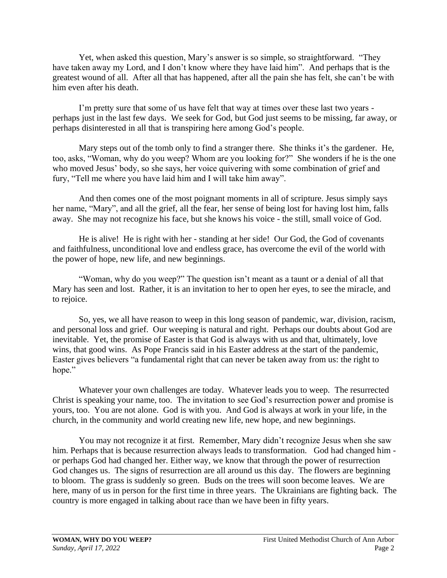Yet, when asked this question, Mary's answer is so simple, so straightforward. "They have taken away my Lord, and I don't know where they have laid him". And perhaps that is the greatest wound of all. After all that has happened, after all the pain she has felt, she can't be with him even after his death.

I'm pretty sure that some of us have felt that way at times over these last two years perhaps just in the last few days. We seek for God, but God just seems to be missing, far away, or perhaps disinterested in all that is transpiring here among God's people.

Mary steps out of the tomb only to find a stranger there. She thinks it's the gardener. He, too, asks, "Woman, why do you weep? Whom are you looking for?" She wonders if he is the one who moved Jesus' body, so she says, her voice quivering with some combination of grief and fury, "Tell me where you have laid him and I will take him away".

And then comes one of the most poignant moments in all of scripture. Jesus simply says her name, "Mary", and all the grief, all the fear, her sense of being lost for having lost him, falls away. She may not recognize his face, but she knows his voice - the still, small voice of God.

He is alive! He is right with her - standing at her side! Our God, the God of covenants and faithfulness, unconditional love and endless grace, has overcome the evil of the world with the power of hope, new life, and new beginnings.

"Woman, why do you weep?" The question isn't meant as a taunt or a denial of all that Mary has seen and lost. Rather, it is an invitation to her to open her eyes, to see the miracle, and to rejoice.

So, yes, we all have reason to weep in this long season of pandemic, war, division, racism, and personal loss and grief. Our weeping is natural and right. Perhaps our doubts about God are inevitable. Yet, the promise of Easter is that God is always with us and that, ultimately, love wins, that good wins. As Pope Francis said in his Easter address at the start of the pandemic, Easter gives believers "a fundamental right that can never be taken away from us: the right to hope."

Whatever your own challenges are today. Whatever leads you to weep. The resurrected Christ is speaking your name, too. The invitation to see God's resurrection power and promise is yours, too. You are not alone. God is with you. And God is always at work in your life, in the church, in the community and world creating new life, new hope, and new beginnings.

You may not recognize it at first. Remember, Mary didn't recognize Jesus when she saw him. Perhaps that is because resurrection always leads to transformation. God had changed him or perhaps God had changed her. Either way, we know that through the power of resurrection God changes us. The signs of resurrection are all around us this day. The flowers are beginning to bloom. The grass is suddenly so green. Buds on the trees will soon become leaves. We are here, many of us in person for the first time in three years. The Ukrainians are fighting back. The country is more engaged in talking about race than we have been in fifty years.